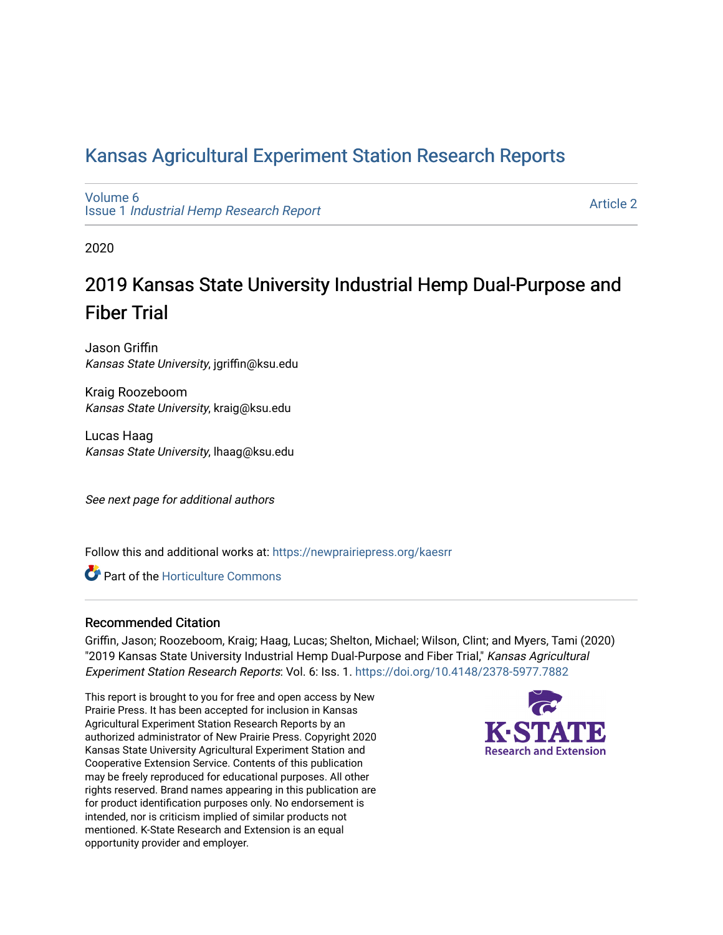## [Kansas Agricultural Experiment Station Research Reports](https://newprairiepress.org/kaesrr)

[Volume 6](https://newprairiepress.org/kaesrr/vol6) Issue 1 [Industrial Hemp Research Report](https://newprairiepress.org/kaesrr/vol6/iss1)

[Article 2](https://newprairiepress.org/kaesrr/vol6/iss1/2) 

2020

## 2019 Kansas State University Industrial Hemp Dual-Purpose and Fiber Trial

Jason Griffin Kansas State University, jgriffin@ksu.edu

Kraig Roozeboom Kansas State University, kraig@ksu.edu

Lucas Haag Kansas State University, lhaag@ksu.edu

See next page for additional authors

Follow this and additional works at: [https://newprairiepress.org/kaesrr](https://newprairiepress.org/kaesrr?utm_source=newprairiepress.org%2Fkaesrr%2Fvol6%2Fiss1%2F2&utm_medium=PDF&utm_campaign=PDFCoverPages) 

**C**<sup> $\bullet$ </sup> Part of the Horticulture Commons

### Recommended Citation

Griffin, Jason; Roozeboom, Kraig; Haag, Lucas; Shelton, Michael; Wilson, Clint; and Myers, Tami (2020) "2019 Kansas State University Industrial Hemp Dual-Purpose and Fiber Trial," Kansas Agricultural Experiment Station Research Reports: Vol. 6: Iss. 1. <https://doi.org/10.4148/2378-5977.7882>

This report is brought to you for free and open access by New Prairie Press. It has been accepted for inclusion in Kansas Agricultural Experiment Station Research Reports by an authorized administrator of New Prairie Press. Copyright 2020 Kansas State University Agricultural Experiment Station and Cooperative Extension Service. Contents of this publication may be freely reproduced for educational purposes. All other rights reserved. Brand names appearing in this publication are for product identification purposes only. No endorsement is intended, nor is criticism implied of similar products not mentioned. K-State Research and Extension is an equal opportunity provider and employer.

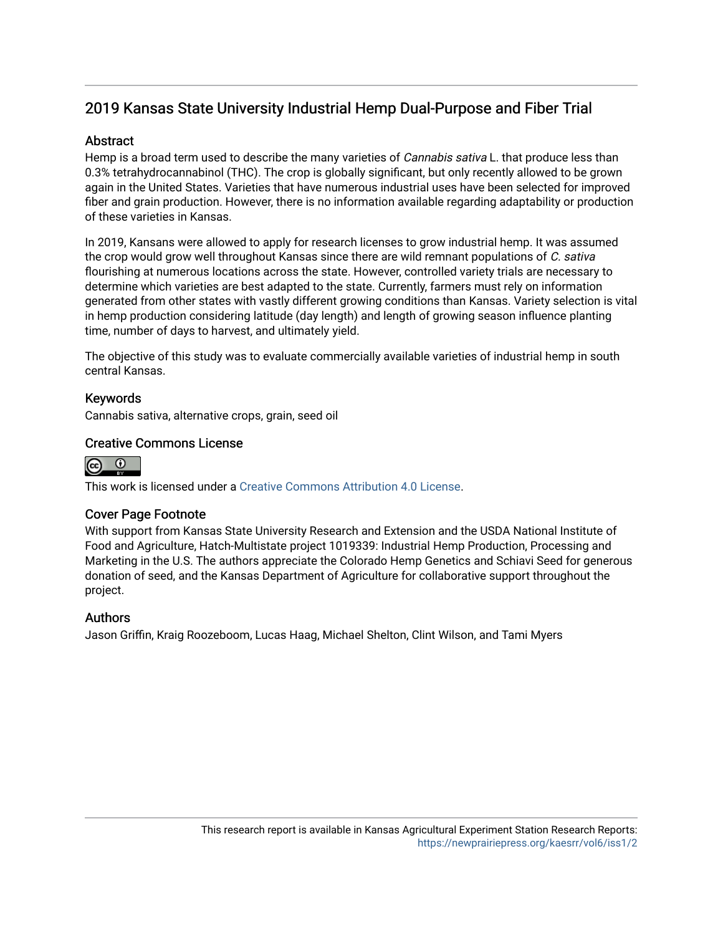## 2019 Kansas State University Industrial Hemp Dual-Purpose and Fiber Trial

### **Abstract**

Hemp is a broad term used to describe the many varieties of *Cannabis sativa* L. that produce less than 0.3% tetrahydrocannabinol (THC). The crop is globally significant, but only recently allowed to be grown again in the United States. Varieties that have numerous industrial uses have been selected for improved fiber and grain production. However, there is no information available regarding adaptability or production of these varieties in Kansas.

In 2019, Kansans were allowed to apply for research licenses to grow industrial hemp. It was assumed the crop would grow well throughout Kansas since there are wild remnant populations of C. sativa flourishing at numerous locations across the state. However, controlled variety trials are necessary to determine which varieties are best adapted to the state. Currently, farmers must rely on information generated from other states with vastly different growing conditions than Kansas. Variety selection is vital in hemp production considering latitude (day length) and length of growing season influence planting time, number of days to harvest, and ultimately yield.

The objective of this study was to evaluate commercially available varieties of industrial hemp in south central Kansas.

### Keywords

Cannabis sativa, alternative crops, grain, seed oil

### Creative Commons License



This work is licensed under a [Creative Commons Attribution 4.0 License](https://creativecommons.org/licenses/by/4.0/).

### Cover Page Footnote

With support from Kansas State University Research and Extension and the USDA National Institute of Food and Agriculture, Hatch-Multistate project 1019339: Industrial Hemp Production, Processing and Marketing in the U.S. The authors appreciate the Colorado Hemp Genetics and Schiavi Seed for generous donation of seed, and the Kansas Department of Agriculture for collaborative support throughout the project.

### Authors

Jason Griffin, Kraig Roozeboom, Lucas Haag, Michael Shelton, Clint Wilson, and Tami Myers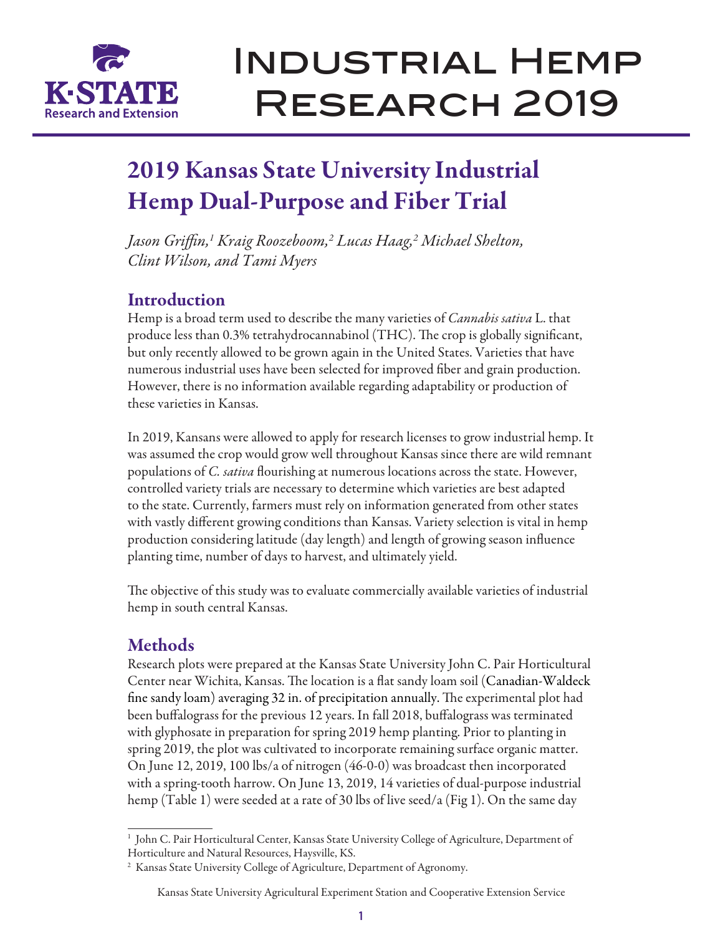

# Industrial Hemp Research 2019

## 2019 Kansas State University Industrial Hemp Dual-Purpose and Fiber Trial

*Jason Griffin,1 Kraig Roozeboom,2 Lucas Haag,2 Michael Shelton, Clint Wilson, and Tami Myers*

## Introduction

Hemp is a broad term used to describe the many varieties of *Cannabis sativa* L. that produce less than 0.3% tetrahydrocannabinol (THC). The crop is globally significant, but only recently allowed to be grown again in the United States. Varieties that have numerous industrial uses have been selected for improved fiber and grain production. However, there is no information available regarding adaptability or production of these varieties in Kansas.

In 2019, Kansans were allowed to apply for research licenses to grow industrial hemp. It was assumed the crop would grow well throughout Kansas since there are wild remnant populations of *C. sativa* flourishing at numerous locations across the state. However, controlled variety trials are necessary to determine which varieties are best adapted to the state. Currently, farmers must rely on information generated from other states with vastly different growing conditions than Kansas. Variety selection is vital in hemp production considering latitude (day length) and length of growing season influence planting time, number of days to harvest, and ultimately yield.

The objective of this study was to evaluate commercially available varieties of industrial hemp in south central Kansas.

## **Methods**

Research plots were prepared at the Kansas State University John C. Pair Horticultural Center near Wichita, Kansas. The location is a flat sandy loam soil (Canadian-Waldeck fine sandy loam) averaging 32 in. of precipitation annually. The experimental plot had been buffalograss for the previous 12 years. In fall 2018, buffalograss was terminated with glyphosate in preparation for spring 2019 hemp planting. Prior to planting in spring 2019, the plot was cultivated to incorporate remaining surface organic matter. On June 12, 2019, 100 lbs/a of nitrogen (46-0-0) was broadcast then incorporated with a spring-tooth harrow. On June 13, 2019, 14 varieties of dual-purpose industrial hemp (Table 1) were seeded at a rate of 30 lbs of live seed/a (Fig 1). On the same day

<sup>1</sup> John C. Pair Horticultural Center, Kansas State University College of Agriculture, Department of Horticulture and Natural Resources, Haysville, KS.

<sup>2</sup> Kansas State University College of Agriculture, Department of Agronomy.

Kansas State University Agricultural Experiment Station and Cooperative Extension Service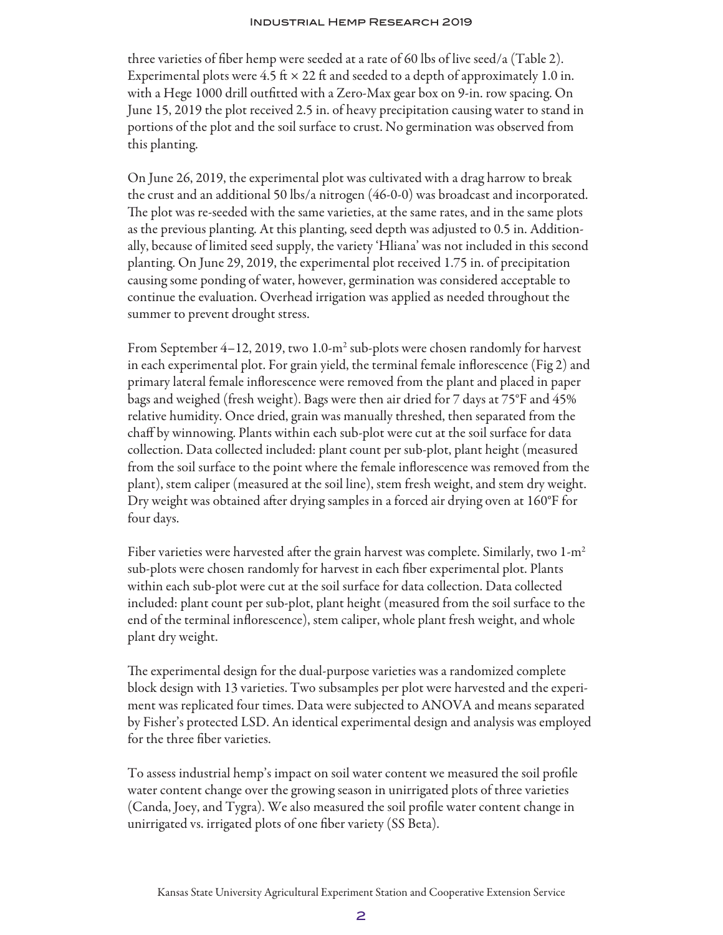### Industrial Hemp Research 2019

three varieties of fiber hemp were seeded at a rate of 60 lbs of live seed/a (Table 2). Experimental plots were 4.5 ft  $\times$  22 ft and seeded to a depth of approximately 1.0 in. with a Hege 1000 drill outfitted with a Zero-Max gear box on 9-in. row spacing. On June 15, 2019 the plot received 2.5 in. of heavy precipitation causing water to stand in portions of the plot and the soil surface to crust. No germination was observed from this planting.

On June 26, 2019, the experimental plot was cultivated with a drag harrow to break the crust and an additional 50 lbs/a nitrogen (46-0-0) was broadcast and incorporated. The plot was re-seeded with the same varieties, at the same rates, and in the same plots as the previous planting. At this planting, seed depth was adjusted to 0.5 in. Additionally, because of limited seed supply, the variety 'Hliana' was not included in this second planting. On June 29, 2019, the experimental plot received 1.75 in. of precipitation causing some ponding of water, however, germination was considered acceptable to continue the evaluation. Overhead irrigation was applied as needed throughout the summer to prevent drought stress.

From September 4–12, 2019, two 1.0-m<sup>2</sup> sub-plots were chosen randomly for harvest in each experimental plot. For grain yield, the terminal female inflorescence (Fig 2) and primary lateral female inflorescence were removed from the plant and placed in paper bags and weighed (fresh weight). Bags were then air dried for 7 days at 75°F and 45% relative humidity. Once dried, grain was manually threshed, then separated from the chaff by winnowing. Plants within each sub-plot were cut at the soil surface for data collection. Data collected included: plant count per sub-plot, plant height (measured from the soil surface to the point where the female inflorescence was removed from the plant), stem caliper (measured at the soil line), stem fresh weight, and stem dry weight. Dry weight was obtained after drying samples in a forced air drying oven at 160°F for four days.

Fiber varieties were harvested after the grain harvest was complete. Similarly, two  $1-m^2$ sub-plots were chosen randomly for harvest in each fiber experimental plot. Plants within each sub-plot were cut at the soil surface for data collection. Data collected included: plant count per sub-plot, plant height (measured from the soil surface to the end of the terminal inflorescence), stem caliper, whole plant fresh weight, and whole plant dry weight.

The experimental design for the dual-purpose varieties was a randomized complete block design with 13 varieties. Two subsamples per plot were harvested and the experiment was replicated four times. Data were subjected to ANOVA and means separated by Fisher's protected LSD. An identical experimental design and analysis was employed for the three fiber varieties.

To assess industrial hemp's impact on soil water content we measured the soil profile water content change over the growing season in unirrigated plots of three varieties (Canda, Joey, and Tygra). We also measured the soil profile water content change in unirrigated vs. irrigated plots of one fiber variety (SS Beta).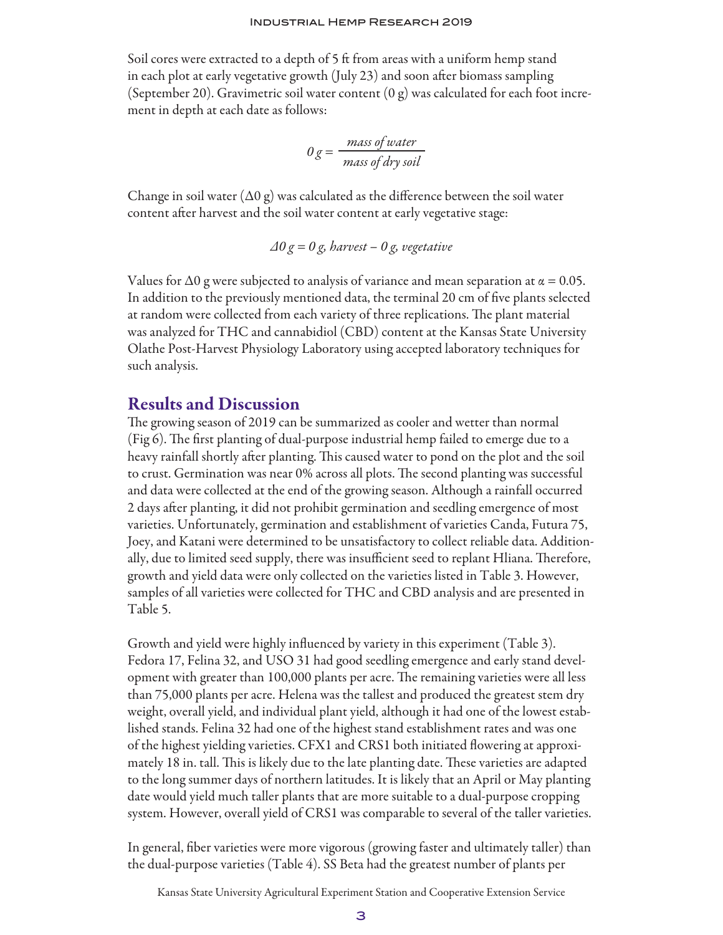Soil cores were extracted to a depth of 5 ft from areas with a uniform hemp stand in each plot at early vegetative growth (July 23) and soon after biomass sampling (September 20). Gravimetric soil water content  $(0 g)$  was calculated for each foot increment in depth at each date as follows:

$$
0 g = \frac{mass of water}{mass of dry soil}
$$

Change in soil water  $(\Delta 0 g)$  was calculated as the difference between the soil water content after harvest and the soil water content at early vegetative stage:

$$
\triangle O g = O g, \text{ harvest} - O g, \text{ vegetative}
$$

Values for  $\Delta 0$  g were subjected to analysis of variance and mean separation at  $\alpha = 0.05$ . In addition to the previously mentioned data, the terminal 20 cm of five plants selected at random were collected from each variety of three replications. The plant material was analyzed for THC and cannabidiol (CBD) content at the Kansas State University Olathe Post-Harvest Physiology Laboratory using accepted laboratory techniques for such analysis.

### Results and Discussion

The growing season of 2019 can be summarized as cooler and wetter than normal (Fig 6). The first planting of dual-purpose industrial hemp failed to emerge due to a heavy rainfall shortly after planting. This caused water to pond on the plot and the soil to crust. Germination was near 0% across all plots. The second planting was successful and data were collected at the end of the growing season. Although a rainfall occurred 2 days after planting, it did not prohibit germination and seedling emergence of most varieties. Unfortunately, germination and establishment of varieties Canda, Futura 75, Joey, and Katani were determined to be unsatisfactory to collect reliable data. Additionally, due to limited seed supply, there was insufficient seed to replant Hliana. Therefore, growth and yield data were only collected on the varieties listed in Table 3. However, samples of all varieties were collected for THC and CBD analysis and are presented in Table 5.

Growth and yield were highly influenced by variety in this experiment (Table 3). Fedora 17, Felina 32, and USO 31 had good seedling emergence and early stand development with greater than 100,000 plants per acre. The remaining varieties were all less than 75,000 plants per acre. Helena was the tallest and produced the greatest stem dry weight, overall yield, and individual plant yield, although it had one of the lowest established stands. Felina 32 had one of the highest stand establishment rates and was one of the highest yielding varieties. CFX1 and CRS1 both initiated flowering at approximately 18 in. tall. This is likely due to the late planting date. These varieties are adapted to the long summer days of northern latitudes. It is likely that an April or May planting date would yield much taller plants that are more suitable to a dual-purpose cropping system. However, overall yield of CRS1 was comparable to several of the taller varieties.

In general, fiber varieties were more vigorous (growing faster and ultimately taller) than the dual-purpose varieties (Table 4). SS Beta had the greatest number of plants per

Kansas State University Agricultural Experiment Station and Cooperative Extension Service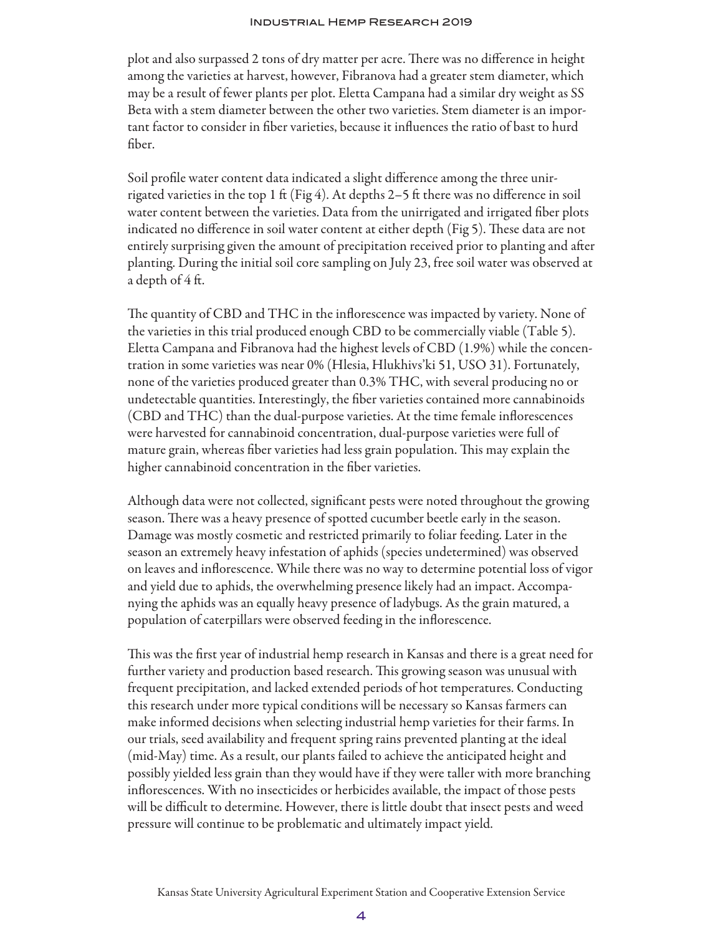#### Industrial Hemp Research 2019

plot and also surpassed 2 tons of dry matter per acre. There was no difference in height among the varieties at harvest, however, Fibranova had a greater stem diameter, which may be a result of fewer plants per plot. Eletta Campana had a similar dry weight as SS Beta with a stem diameter between the other two varieties. Stem diameter is an important factor to consider in fiber varieties, because it influences the ratio of bast to hurd fiber.

Soil profile water content data indicated a slight difference among the three unirrigated varieties in the top 1 ft (Fig 4). At depths 2–5 ft there was no difference in soil water content between the varieties. Data from the unirrigated and irrigated fiber plots indicated no difference in soil water content at either depth (Fig 5). These data are not entirely surprising given the amount of precipitation received prior to planting and after planting. During the initial soil core sampling on July 23, free soil water was observed at a depth of 4 ft.

The quantity of CBD and THC in the inflorescence was impacted by variety. None of the varieties in this trial produced enough CBD to be commercially viable (Table 5). Eletta Campana and Fibranova had the highest levels of CBD (1.9%) while the concentration in some varieties was near 0% (Hlesia, Hlukhivs'ki 51, USO 31). Fortunately, none of the varieties produced greater than 0.3% THC, with several producing no or undetectable quantities. Interestingly, the fiber varieties contained more cannabinoids (CBD and THC) than the dual-purpose varieties. At the time female inflorescences were harvested for cannabinoid concentration, dual-purpose varieties were full of mature grain, whereas fiber varieties had less grain population. This may explain the higher cannabinoid concentration in the fiber varieties.

Although data were not collected, significant pests were noted throughout the growing season. There was a heavy presence of spotted cucumber beetle early in the season. Damage was mostly cosmetic and restricted primarily to foliar feeding. Later in the season an extremely heavy infestation of aphids (species undetermined) was observed on leaves and inflorescence. While there was no way to determine potential loss of vigor and yield due to aphids, the overwhelming presence likely had an impact. Accompanying the aphids was an equally heavy presence of ladybugs. As the grain matured, a population of caterpillars were observed feeding in the inflorescence.

This was the first year of industrial hemp research in Kansas and there is a great need for further variety and production based research. This growing season was unusual with frequent precipitation, and lacked extended periods of hot temperatures. Conducting this research under more typical conditions will be necessary so Kansas farmers can make informed decisions when selecting industrial hemp varieties for their farms. In our trials, seed availability and frequent spring rains prevented planting at the ideal (mid-May) time. As a result, our plants failed to achieve the anticipated height and possibly yielded less grain than they would have if they were taller with more branching inflorescences. With no insecticides or herbicides available, the impact of those pests will be difficult to determine. However, there is little doubt that insect pests and weed pressure will continue to be problematic and ultimately impact yield.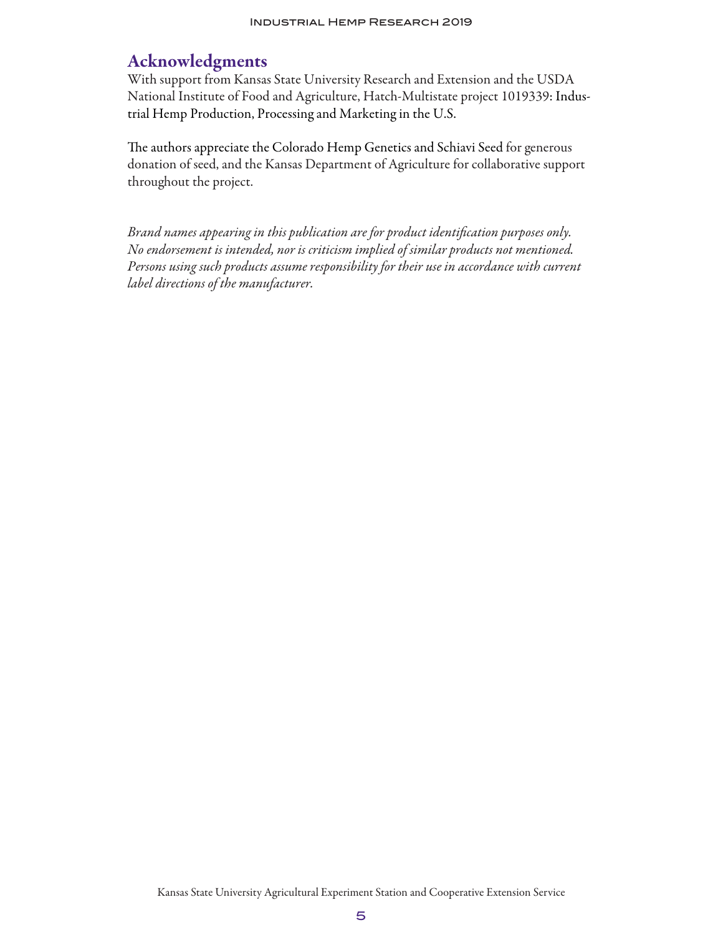### Acknowledgments

With support from Kansas State University Research and Extension and the USDA National Institute of Food and Agriculture, Hatch-Multistate project 1019339: Industrial Hemp Production, Processing and Marketing in the U.S.

The authors appreciate the Colorado Hemp Genetics and Schiavi Seed for generous donation of seed, and the Kansas Department of Agriculture for collaborative support throughout the project.

*Brand names appearing in this publication are for product identification purposes only. No endorsement is intended, nor is criticism implied of similar products not mentioned. Persons using such products assume responsibility for their use in accordance with current label directions of the manufacturer.*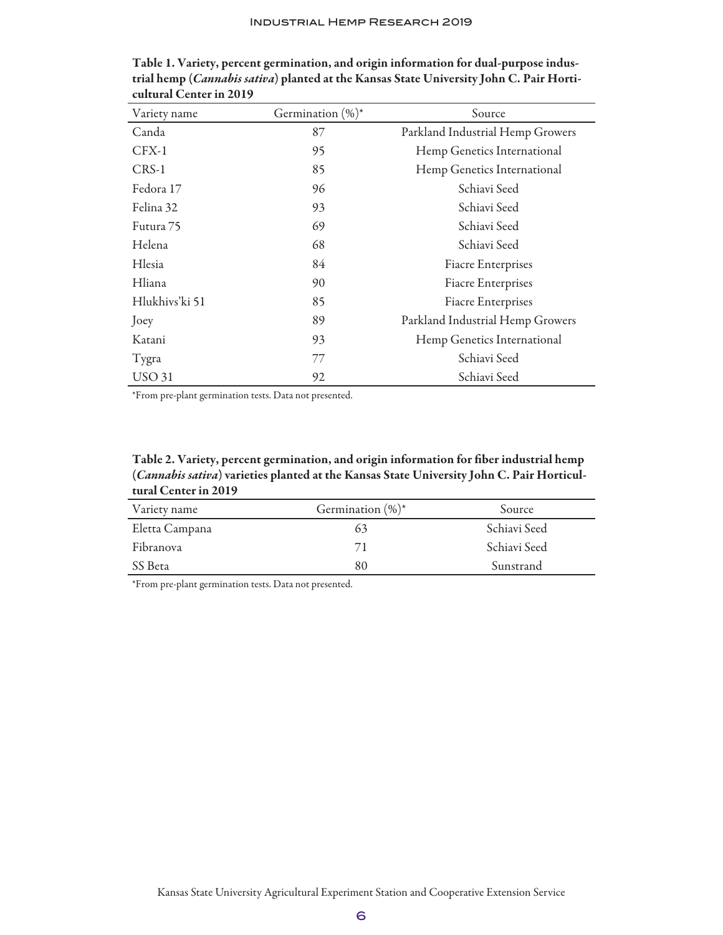| Variety name   | Germination $(\%)^*$ | Source                           |
|----------------|----------------------|----------------------------------|
| Canda          | 87                   | Parkland Industrial Hemp Growers |
| CFX-1          | 95                   | Hemp Genetics International      |
| CRS-1          | 85                   | Hemp Genetics International      |
| Fedora 17      | 96                   | Schiavi Seed                     |
| Felina 32      | 93                   | Schiavi Seed                     |
| Futura 75      | 69                   | Schiavi Seed                     |
| Helena         | 68                   | Schiavi Seed                     |
| Hlesia         | 84                   | <b>Fiacre Enterprises</b>        |
| Hliana         | 90                   | <b>Fiacre Enterprises</b>        |
| Hlukhivs'ki 51 | 85                   | <b>Fiacre Enterprises</b>        |
| Joey           | 89                   | Parkland Industrial Hemp Growers |
| Katani         | 93                   | Hemp Genetics International      |
| Tygra          | 77                   | Schiavi Seed                     |
| <b>USO 31</b>  | 92                   | Schiavi Seed                     |

Table 1. Variety, percent germination, and origin information for dual-purpose industrial hemp (*Cannabis sativa*) planted at the Kansas State University John C. Pair Horticultural Center in 2019

\*From pre-plant germination tests. Data not presented.

Table 2. Variety, percent germination, and origin information for fiber industrial hemp (*Cannabis sativa*) varieties planted at the Kansas State University John C. Pair Horticultural Center in 2019

| Variety name   | Germination $(\%)^*$ | Source       |
|----------------|----------------------|--------------|
| Eletta Campana | 63                   | Schiavi Seed |
| Fibranova      | 71                   | Schiavi Seed |
| SS Beta        | 80                   | Sunstrand    |

\*From pre-plant germination tests. Data not presented.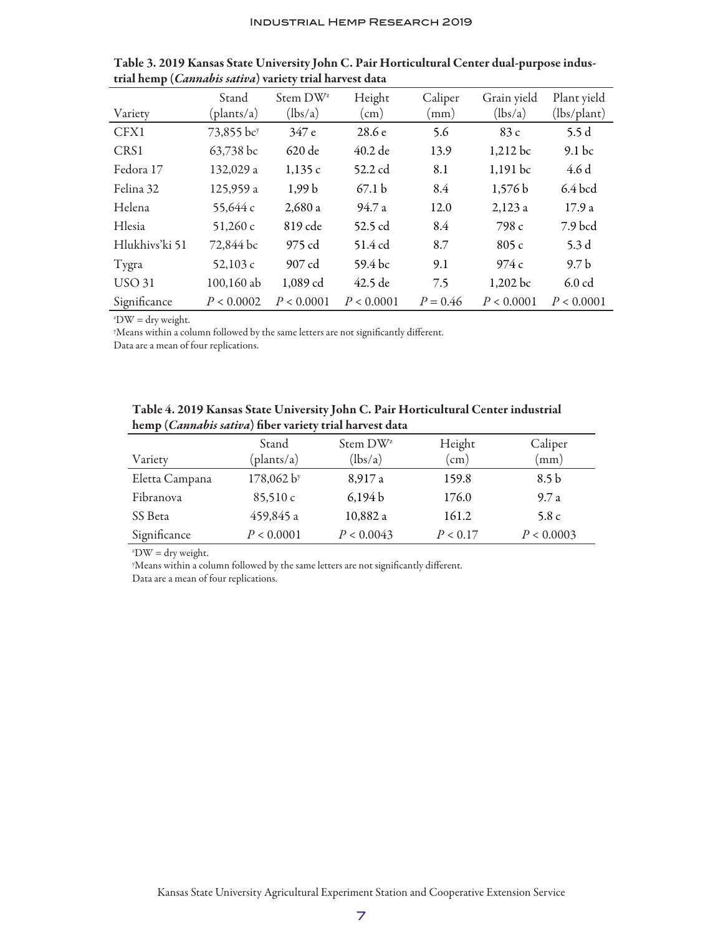|                | Stand      | Stem DW <sup>z</sup> | Height     | Caliper       | Grain yield | Plant yield       |
|----------------|------------|----------------------|------------|---------------|-------------|-------------------|
| Variety        | (plants/a) | (lbs/a)              | $\rm (cm)$ | $\text{(mm)}$ | (lbs/a)     | (lbs/plant)       |
| CFX1           | 73,855 bcy | 347 e                | 28.6e      | 5.6           | 83c         | 5.5d              |
| CRS1           | 63,738 bc  | $620$ de             | $40.2$ de  | 13.9          | 1,212 bc    | 9.1 <sub>bc</sub> |
| Fedora 17      | 132,029 a  | 1,135c               | 52.2 cd    | 8.1           | 1,191 bc    | 4.6 d             |
| Felina 32      | 125,959 a  | 1.99 <sub>b</sub>    | 67.1 b     | 8.4           | 1,576 b     | 6.4 bcd           |
| Helena         | 55,644 c   | 2,680a               | 94.7 a     | 12.0          | 2,123a      | 17.9a             |
| Hlesia         | 51,260c    | 819 cde              | 52.5 cd    | 8.4           | 798 c       | 7.9 bcd           |
| Hlukhivs'ki 51 | 72,844 bc  | 975 cd               | 51.4 cd    | 8.7           | 805c        | 5.3 <sub>d</sub>  |
| Tygra          | 52,103 $c$ | 907 cd               | 59.4 bc    | 9.1           | 974c        | 9.7 <sub>b</sub>  |
| <b>USO 31</b>  | 100,160 ab | 1,089 cd             | $42.5$ de  | 7.5           | $1,202$ bc  | 6.0 <sub>cd</sub> |
| Significance   | P < 0.0002 | P < 0.0001           | P < 0.0001 | $P = 0.46$    | P < 0.0001  | P < 0.0001        |

Table 3. 2019 Kansas State University John C. Pair Horticultural Center dual-purpose industrial hemp (*Cannabis sativa*) variety trial harvest data

 $v^2$ DW = dry weight.

y Means within a column followed by the same letters are not significantly different.

Data are a mean of four replications.

| Table 4. 2019 Kansas State University John C. Pair Horticultural Center industrial |  |
|------------------------------------------------------------------------------------|--|
| hemp ( <i>Cannabis sativa</i> ) fiber variety trial harvest data                   |  |

|                | Stand      | Stem $DW^2$ | Height        | Caliper          |
|----------------|------------|-------------|---------------|------------------|
| Variety        | (plants/a) | (lbs/a)     | $\text{(cm)}$ | (mm)             |
| Eletta Campana | 178,062 by | 8,917 a     | 159.8         | 8.5 <sub>b</sub> |
| Fibranova      | 85,510c    | 6,194 b     | 176.0         | 9.7a             |
| SS Beta        | 459,845 a  | 10,882 a    | 161.2         | 5.8 c            |
| Significance   | P < 0.0001 | P < 0.0043  | P < 0.17      | P < 0.0003       |

 $v^2$ DW = dry weight.

y Means within a column followed by the same letters are not significantly different. Data are a mean of four replications.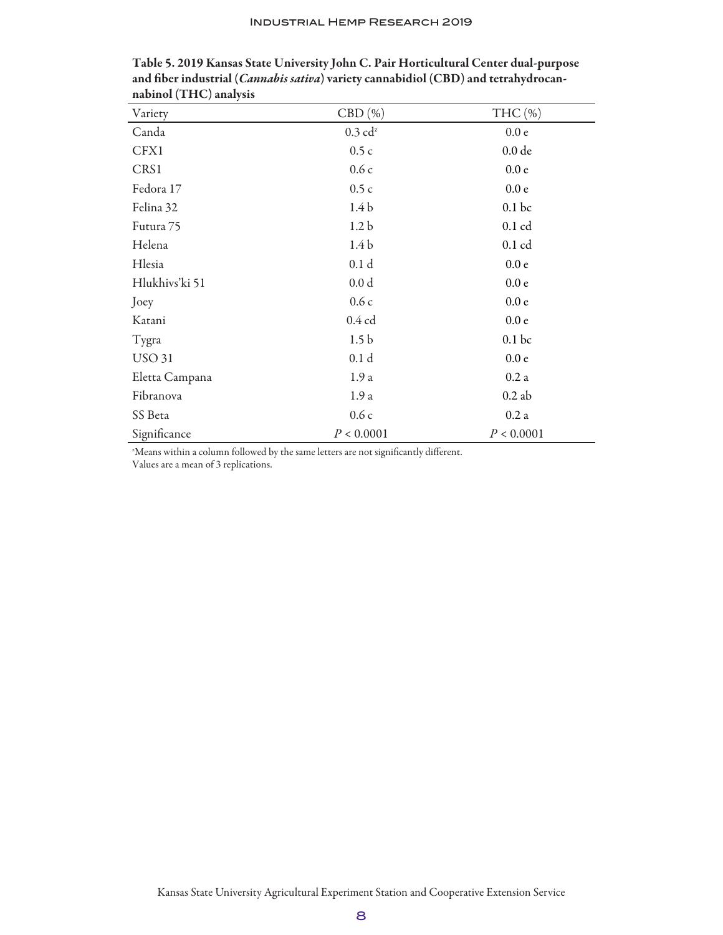| Variety        | CBD(%)                | $THC \left( % \right)$ |
|----------------|-----------------------|------------------------|
| Canda          | $0.3$ cd <sup>z</sup> | 0.0 <sub>e</sub>       |
| CFX1           | 0.5c                  | 0.0 de                 |
| CRS1           | 0.6c                  | 0.0 <sub>e</sub>       |
| Fedora 17      | 0.5c                  | 0.0 e                  |
| Felina 32      | 1.4 <sub>b</sub>      | 0.1 <sub>bc</sub>      |
| Futura 75      | 1.2 <sub>b</sub>      | $0.1$ cd               |
| Helena         | 1.4 <sub>b</sub>      | $0.1$ cd               |
| Hlesia         | 0.1 <sub>d</sub>      | 0.0 <sub>e</sub>       |
| Hlukhivs'ki 51 | 0.0 <sub>d</sub>      | 0.0 <sub>e</sub>       |
| Joey           | 0.6c                  | 0.0 <sub>e</sub>       |
| Katani         | $0.4$ cd              | 0.0e                   |
| Tygra          | 1.5 <sub>b</sub>      | 0.1 <sub>bc</sub>      |
| <b>USO 31</b>  | 0.1 <sub>d</sub>      | 0.0 <sub>e</sub>       |
| Eletta Campana | 1.9a                  | 0.2a                   |
| Fibranova      | 1.9a                  | $0.2$ ab               |
| SS Beta        | 0.6c                  | 0.2a                   |
| Significance   | P < 0.0001            | P < 0.0001             |

Table 5. 2019 Kansas State University John C. Pair Horticultural Center dual-purpose and fiber industrial (*Cannabis sativa*) variety cannabidiol (CBD) and tetrahydrocannabinol (THC) analysis

z Means within a column followed by the same letters are not significantly different.

Values are a mean of 3 replications.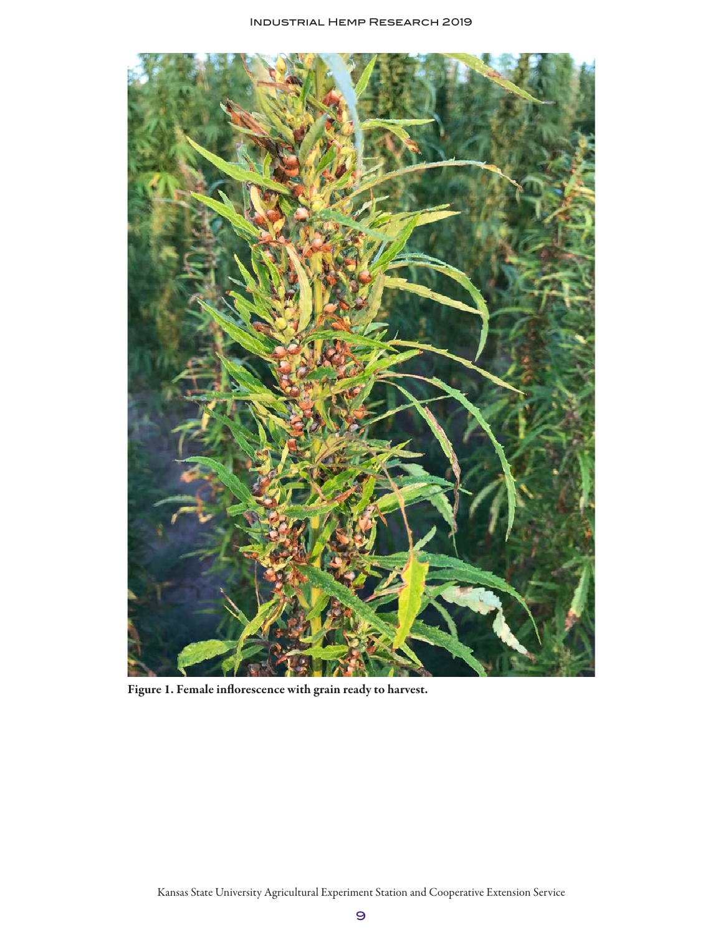

Figure 1. Female inflorescence with grain ready to harvest.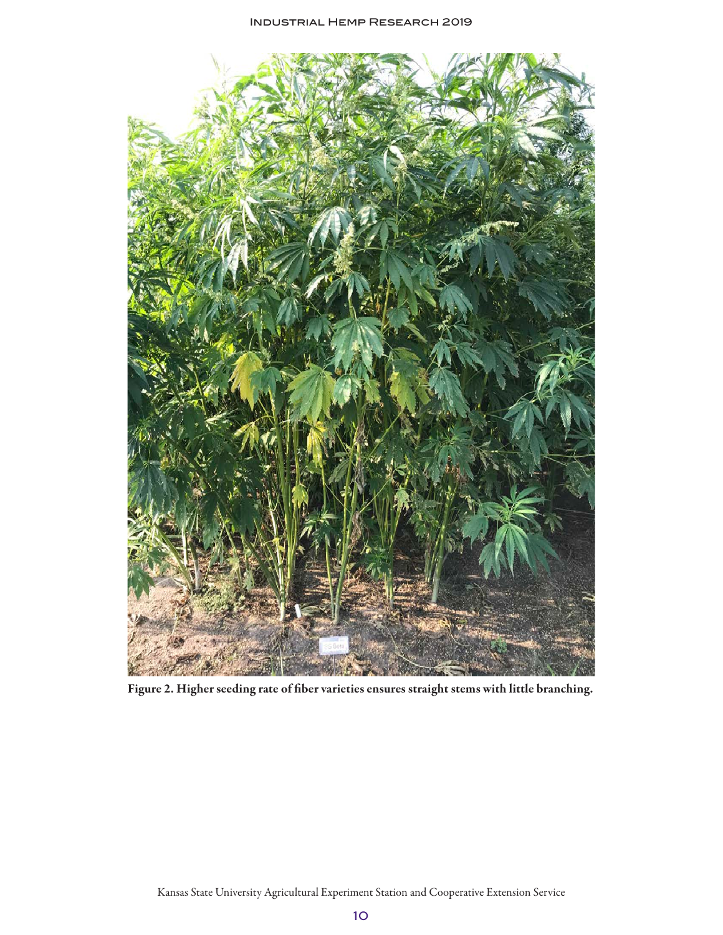

Figure 2. Higher seeding rate of fiber varieties ensures straight stems with little branching.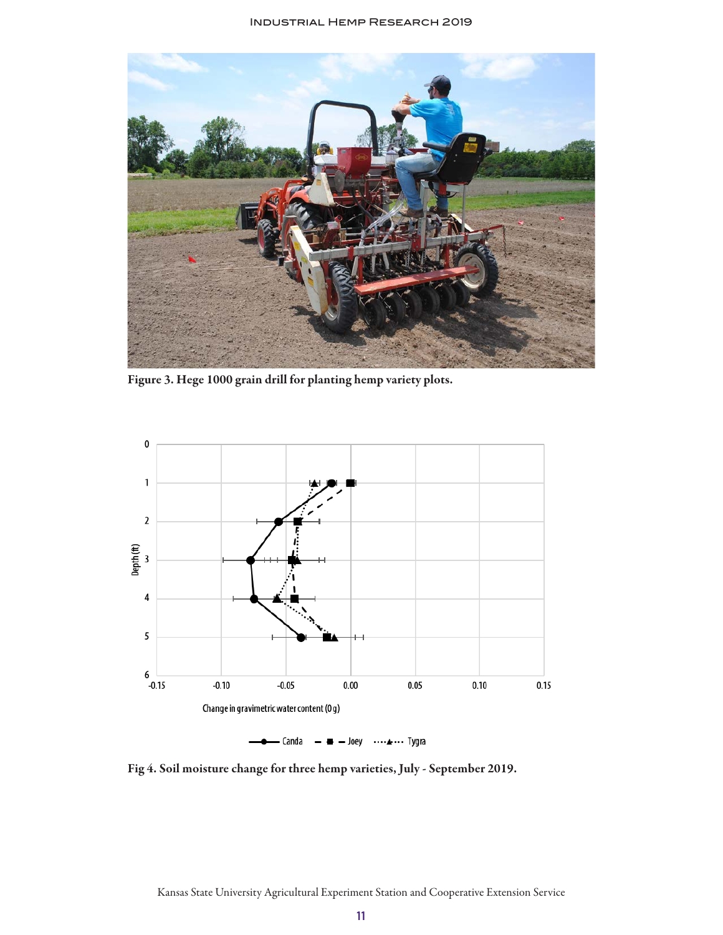

Figure 3. Hege 1000 grain drill for planting hemp variety plots.



 $\bullet$  Canda -  $\bullet$  - Joey  $\cdots \bullet$  Tygra

Fig 4. Soil moisture change for three hemp varieties, July - September 2019.

Kansas State University Agricultural Experiment Station and Cooperative Extension Service